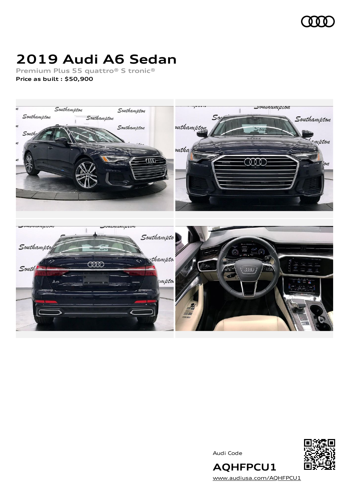

# **2019 Audi A6 Sedan**

**Premium Plus 55 quattro® S tronic®**

**Price as built [:](#page-8-0) \$50,900**



Audi Code



[www.audiusa.com/AQHFPCU1](https://www.audiusa.com/AQHFPCU1)

**AQHFPCU1**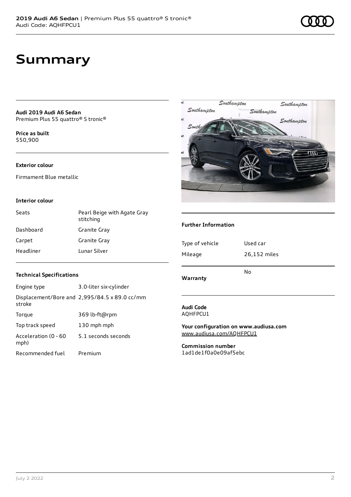**Audi 2019 Audi A6 Sedan** Premium Plus 55 quattro® S tronic®

**Price as buil[t](#page-8-0)** \$50,900

### **Exterior colour**

Firmament Blue metallic

### **Interior colour**

| Seats     | Pearl Beige with Agate Gray<br>stitching |
|-----------|------------------------------------------|
| Dashboard | Granite Gray                             |
| Carpet    | Granite Gray                             |
| Headliner | Lunar Silver                             |



### **Further Information**

| Type of vehicle | Used car     |
|-----------------|--------------|
| Mileage         | 26,152 miles |
| Warranty        | No           |

### **Technical Specifications**

Recommended fuel Premium

| Engine type                  | 3.0-liter six-cylinder                        |
|------------------------------|-----------------------------------------------|
| stroke                       | Displacement/Bore and 2,995/84.5 x 89.0 cc/mm |
| Torque                       | 369 lb-ft@rpm                                 |
| Top track speed              | 130 mph mph                                   |
| Acceleration (0 - 60<br>mph) | 5.1 seconds seconds                           |
|                              |                                               |

**Audi Code** AQHFPCU1

**Your configuration on www.audiusa.com** [www.audiusa.com/AQHFPCU1](https://www.audiusa.com/AQHFPCU1)

**Commission number** 1ad1de1f0a0e09af5ebc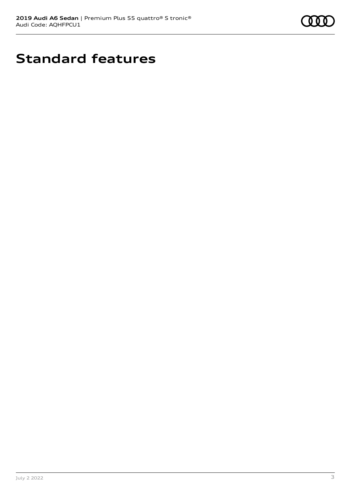

# **Standard features**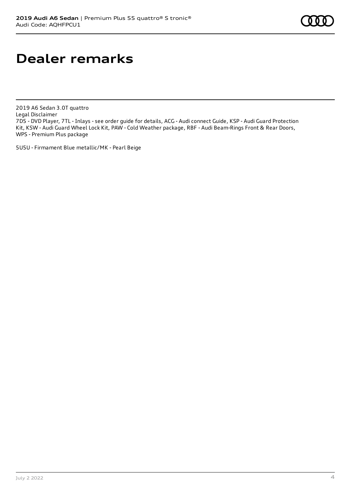## **Dealer remarks**

2019 A6 Sedan 3.0T quattro Legal Disclaimer 7D5 - DVD Player, 7TL - Inlays - see order guide for details, ACG - Audi connect Guide, KSP - Audi Guard Protection Kit, KSW - Audi Guard Wheel Lock Kit, PAW - Cold Weather package, RBF - Audi Beam-Rings Front & Rear Doors, WPS - Premium Plus package

5U5U - Firmament Blue metallic/MK - Pearl Beige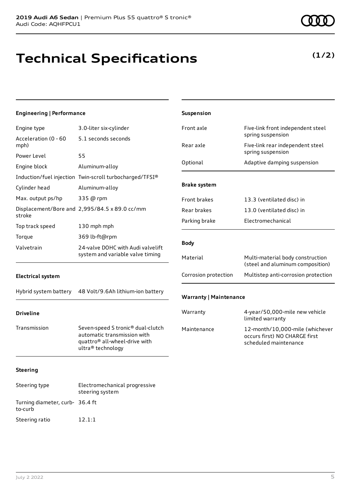# **Technical Specifications**

## **(1/2)**

| <b>Engineering   Performance</b> |                                                                                                                                    | Suspension                    |                                                                                           |
|----------------------------------|------------------------------------------------------------------------------------------------------------------------------------|-------------------------------|-------------------------------------------------------------------------------------------|
| Engine type                      | 3.0-liter six-cylinder                                                                                                             | Front axle                    | Five-link front independent steel                                                         |
| Acceleration (0 - 60<br>mph)     | 5.1 seconds seconds                                                                                                                | Rear axle                     | spring suspension<br>Five-link rear independent steel                                     |
| Power Level<br>Engine block      | 55<br>Aluminum-alloy                                                                                                               | Optional                      | spring suspension<br>Adaptive damping suspension                                          |
| Cylinder head                    | Induction/fuel injection Twin-scroll turbocharged/TFSI®<br>Aluminum-alloy                                                          | <b>Brake system</b>           |                                                                                           |
| Max. output ps/hp                | 335 @ rpm<br>Displacement/Bore and 2,995/84.5 x 89.0 cc/mm                                                                         | Front brakes<br>Rear brakes   | 13.3 (ventilated disc) in<br>13.0 (ventilated disc) in                                    |
| stroke<br>Top track speed        | 130 mph mph                                                                                                                        | Parking brake                 | Electromechanical                                                                         |
| Torque<br>Valvetrain             | 369 lb-ft@rpm<br>24-valve DOHC with Audi valvelift<br>system and variable valve timing                                             | <b>Body</b>                   |                                                                                           |
|                                  |                                                                                                                                    | Material                      | Multi-material body construction<br>(steel and aluminum composition)                      |
| <b>Electrical system</b>         |                                                                                                                                    | Corrosion protection          | Multistep anti-corrosion protection                                                       |
| Hybrid system battery            | 48 Volt/9.6Ah lithium-ion battery                                                                                                  | <b>Warranty   Maintenance</b> |                                                                                           |
| <b>Driveline</b>                 |                                                                                                                                    | Warranty                      | 4-year/50,000-mile new vehicle<br>limited warranty                                        |
| Transmission                     | Seven-speed S tronic® dual-clutch<br>automatic transmission with<br>quattro <sup>®</sup> all-wheel-drive with<br>ultra® technology | Maintenance                   | 12-month/10,000-mile (whichever<br>occurs first) NO CHARGE first<br>scheduled maintenance |
| <b>Steering</b>                  |                                                                                                                                    |                               |                                                                                           |
| Steering type                    | Electromechanical progressive<br>steering system                                                                                   |                               |                                                                                           |

Turning diameter, curb-36.4 ft

to-curb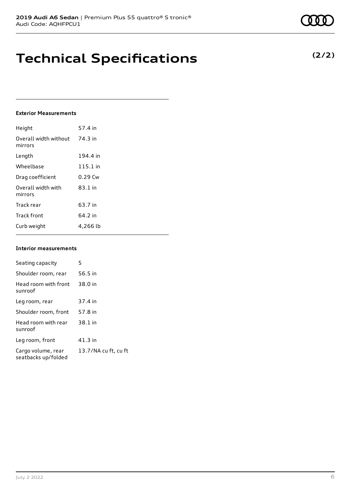## **Technical Specifications**

### **Exterior Measurements**

| Height                           | 57.4 in   |
|----------------------------------|-----------|
| Overall width without<br>mirrors | 74.3 in   |
| Length                           | 194.4 in  |
| Wheelbase                        | 115.1 in  |
| Drag coefficient                 | $0.29$ Cw |
| Overall width with<br>mirrors    | $83.1$ in |
| Track rear                       | 63.7 in   |
| <b>Track front</b>               | 64.2 in   |
| Curb weight                      | 4,266 lb  |

#### **Interior measurements**

| Seating capacity                          | 5                    |
|-------------------------------------------|----------------------|
| Shoulder room, rear                       | 56.5 in              |
| Head room with front<br>sunroof           | 38.0 in              |
| Leg room, rear                            | 37.4 in              |
| Shoulder room, front                      | 57.8 in              |
| Head room with rear<br>sunroof            | 38.1 in              |
| Leg room, front                           | $41.3$ in            |
| Cargo volume, rear<br>seatbacks up/folded | 13.7/NA cu ft, cu ft |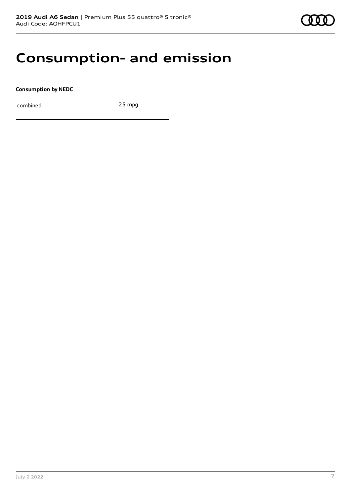

## **Consumption- and emission**

**Consumption by NEDC**

combined 25 mpg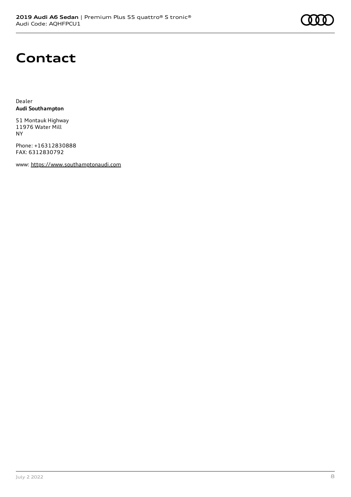## **Contact**

Dealer **Audi Southampton**

51 Montauk Highway 11976 Water Mill NY

Phone: +16312830888 FAX: 6312830792

www: [https://www.southamptonaudi.com](https://www.southamptonaudi.com/)